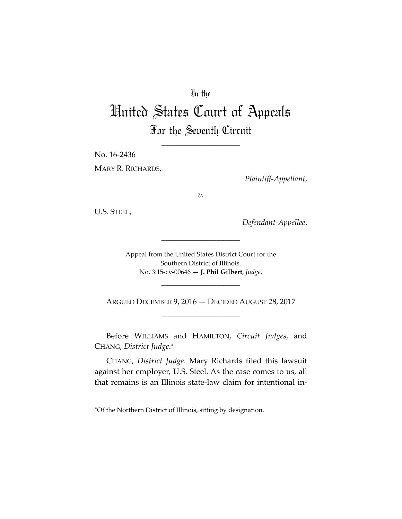## In the

# United States Court of Appeals For the Seventh Circuit

\_\_\_\_\_\_\_\_\_\_\_\_\_\_\_\_\_\_\_\_

No. 16‐2436 MARY R. RICHARDS,

*Plaintiff‐Appellant*,

*v.*

U.S. STEEL,

*Defendant‐Appellee*.

Appeal from the United States District Court for the Southern District of Illinois. No. 3:15‐cv‐00646 — **J. Phil Gilbert**, *Judge*.

\_\_\_\_\_\_\_\_\_\_\_\_\_\_\_\_\_\_\_\_

\_\_\_\_\_\_\_\_\_\_\_\_\_\_\_\_\_\_\_\_

ARGUED DECEMBER 9, 2016 — DECIDED AUGUST 28, 2017 \_\_\_\_\_\_\_\_\_\_\_\_\_\_\_\_\_\_\_\_

Before WILLIAMS and HAMILTON, *Circuit Judges*, and CHANG, *District Judge*.

CHANG, *District Judge*. Mary Richards filed this lawsuit against her employer, U.S. Steel. As the case comes to us, all that remains is an Illinois state‐law claim for intentional in‐

Of the Northern District of Illinois, sitting by designation.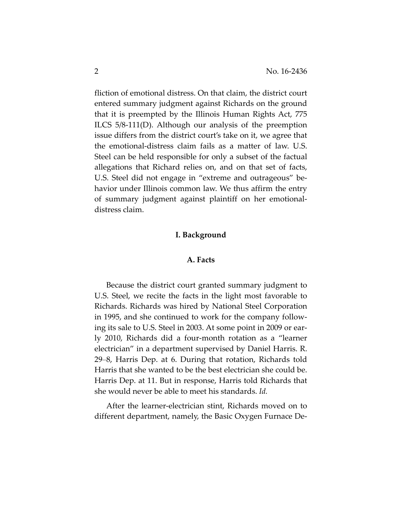fliction of emotional distress. On that claim, the district court entered summary judgment against Richards on the ground that it is preempted by the Illinois Human Rights Act, 775 ILCS 5/8‐111(D). Although our analysis of the preemption issue differs from the district court's take on it, we agree that the emotional‐distress claim fails as a matter of law. U.S. Steel can be held responsible for only a subset of the factual allegations that Richard relies on, and on that set of facts, U.S. Steel did not engage in "extreme and outrageous" be‐ havior under Illinois common law. We thus affirm the entry of summary judgment against plaintiff on her emotional‐ distress claim.

## **I. Background**

## **A. Facts**

Because the district court granted summary judgment to U.S. Steel, we recite the facts in the light most favorable to Richards. Richards was hired by National Steel Corporation in 1995, and she continued to work for the company follow‐ ing its sale to U.S. Steel in 2003. At some point in 2009 or ear‐ ly 2010, Richards did a four‐month rotation as a "learner electrician" in a department supervised by Daniel Harris. R. 29–8, Harris Dep. at 6. During that rotation, Richards told Harris that she wanted to be the best electrician she could be. Harris Dep. at 11. But in response, Harris told Richards that she would never be able to meet his standards. *Id.*

After the learner‐electrician stint, Richards moved on to different department, namely, the Basic Oxygen Furnace De‐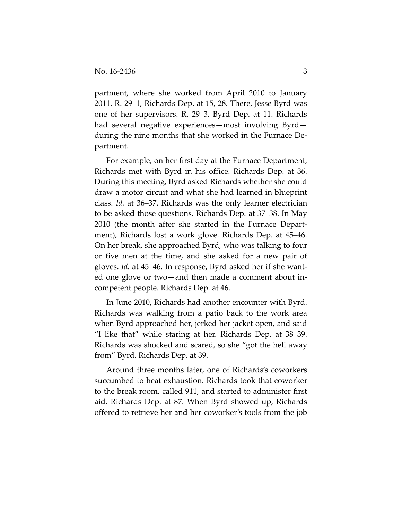partment, where she worked from April 2010 to January 2011. R. 29–1, Richards Dep. at 15, 28. There, Jesse Byrd was one of her supervisors. R. 29–3, Byrd Dep. at 11. Richards had several negative experiences—most involving Byrd during the nine months that she worked in the Furnace De‐ partment.

For example, on her first day at the Furnace Department, Richards met with Byrd in his office. Richards Dep. at 36. During this meeting, Byrd asked Richards whether she could draw a motor circuit and what she had learned in blueprint class. *Id.* at 36–37. Richards was the only learner electrician to be asked those questions. Richards Dep. at 37–38. In May 2010 (the month after she started in the Furnace Depart‐ ment), Richards lost a work glove. Richards Dep. at 45–46. On her break, she approached Byrd, who was talking to four or five men at the time, and she asked for a new pair of gloves. *Id.* at 45–46. In response, Byrd asked her if she want‐ ed one glove or two—and then made a comment about in‐ competent people. Richards Dep. at 46.

In June 2010, Richards had another encounter with Byrd. Richards was walking from a patio back to the work area when Byrd approached her, jerked her jacket open, and said "I like that" while staring at her. Richards Dep. at 38–39. Richards was shocked and scared, so she "got the hell away from" Byrd. Richards Dep. at 39.

Around three months later, one of Richards's coworkers succumbed to heat exhaustion. Richards took that coworker to the break room, called 911, and started to administer first aid. Richards Dep. at 87. When Byrd showed up, Richards offered to retrieve her and her coworker's tools from the job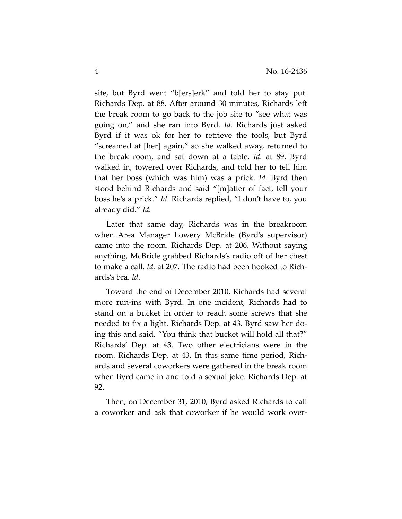site, but Byrd went "b[ers]erk" and told her to stay put. Richards Dep. at 88. After around 30 minutes, Richards left the break room to go back to the job site to "see what was going on," and she ran into Byrd. *Id.* Richards just asked Byrd if it was ok for her to retrieve the tools, but Byrd "screamed at [her] again," so she walked away, returned to the break room, and sat down at a table. *Id.* at 89. Byrd walked in, towered over Richards, and told her to tell him that her boss (which was him) was a prick. *Id.* Byrd then stood behind Richards and said "[m]atter of fact, tell your boss he's a prick." *Id.* Richards replied, "I don't have to, you already did." *Id.*

Later that same day, Richards was in the breakroom when Area Manager Lowery McBride (Byrd's supervisor) came into the room. Richards Dep. at 206. Without saying anything, McBride grabbed Richards's radio off of her chest to make a call. *Id.* at 207. The radio had been hooked to Rich‐ ards's bra. *Id*.

Toward the end of December 2010, Richards had several more run‐ins with Byrd. In one incident, Richards had to stand on a bucket in order to reach some screws that she needed to fix a light. Richards Dep. at 43. Byrd saw her do‐ ing this and said, "You think that bucket will hold all that?" Richards' Dep. at 43. Two other electricians were in the room. Richards Dep. at 43. In this same time period, Rich‐ ards and several coworkers were gathered in the break room when Byrd came in and told a sexual joke. Richards Dep. at 92.

Then, on December 31, 2010, Byrd asked Richards to call a coworker and ask that coworker if he would work over‐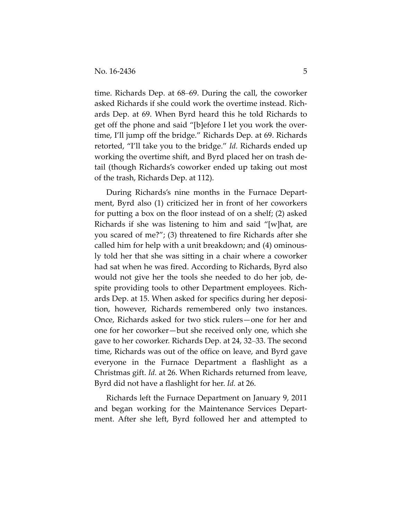time. Richards Dep. at 68–69. During the call, the coworker asked Richards if she could work the overtime instead. Rich‐ ards Dep. at 69. When Byrd heard this he told Richards to get off the phone and said "[b]efore I let you work the over‐ time, I'll jump off the bridge." Richards Dep. at 69. Richards retorted, "I'll take you to the bridge." *Id.* Richards ended up working the overtime shift, and Byrd placed her on trash de‐ tail (though Richards's coworker ended up taking out most of the trash, Richards Dep. at 112).

During Richards's nine months in the Furnace Depart‐ ment, Byrd also (1) criticized her in front of her coworkers for putting a box on the floor instead of on a shelf; (2) asked Richards if she was listening to him and said "[w]hat, are you scared of me?"; (3) threatened to fire Richards after she called him for help with a unit breakdown; and (4) ominous‐ ly told her that she was sitting in a chair where a coworker had sat when he was fired. According to Richards, Byrd also would not give her the tools she needed to do her job, de‐ spite providing tools to other Department employees. Rich‐ ards Dep. at 15. When asked for specifics during her deposi‐ tion, however, Richards remembered only two instances. Once, Richards asked for two stick rulers—one for her and one for her coworker—but she received only one, which she gave to her coworker. Richards Dep. at 24, 32–33. The second time, Richards was out of the office on leave, and Byrd gave everyone in the Furnace Department a flashlight as a Christmas gift. *Id.* at 26. When Richards returned from leave, Byrd did not have a flashlight for her. *Id.* at 26.

Richards left the Furnace Department on January 9, 2011 and began working for the Maintenance Services Depart‐ ment. After she left, Byrd followed her and attempted to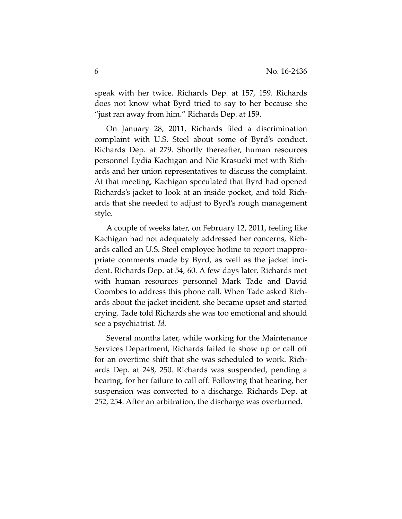speak with her twice. Richards Dep. at 157, 159. Richards does not know what Byrd tried to say to her because she "just ran away from him." Richards Dep. at 159.

On January 28, 2011, Richards filed a discrimination complaint with U.S. Steel about some of Byrd's conduct. Richards Dep. at 279. Shortly thereafter, human resources personnel Lydia Kachigan and Nic Krasucki met with Rich‐ ards and her union representatives to discuss the complaint. At that meeting, Kachigan speculated that Byrd had opened Richards's jacket to look at an inside pocket, and told Rich‐ ards that she needed to adjust to Byrd's rough management style.

A couple of weeks later, on February 12, 2011, feeling like Kachigan had not adequately addressed her concerns, Rich‐ ards called an U.S. Steel employee hotline to report inappro‐ priate comments made by Byrd, as well as the jacket inci‐ dent. Richards Dep. at 54, 60. A few days later, Richards met with human resources personnel Mark Tade and David Coombes to address this phone call. When Tade asked Rich‐ ards about the jacket incident, she became upset and started crying. Tade told Richards she was too emotional and should see a psychiatrist. *Id.*

Several months later, while working for the Maintenance Services Department, Richards failed to show up or call off for an overtime shift that she was scheduled to work. Rich‐ ards Dep. at 248, 250. Richards was suspended, pending a hearing, for her failure to call off. Following that hearing, her suspension was converted to a discharge. Richards Dep. at 252, 254. After an arbitration, the discharge was overturned.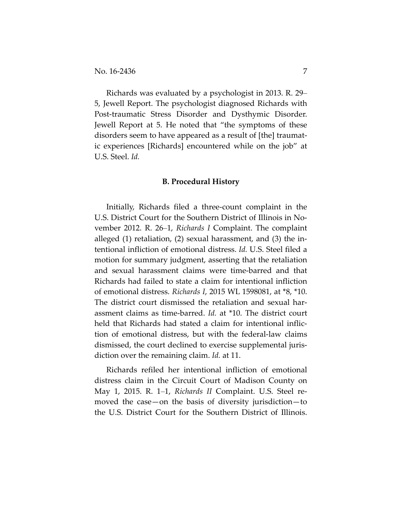Richards was evaluated by a psychologist in 2013. R. 29– 5, Jewell Report. The psychologist diagnosed Richards with Post-traumatic Stress Disorder and Dysthymic Disorder. Jewell Report at 5. He noted that "the symptoms of these disorders seem to have appeared as a result of [the] traumat‐ ic experiences [Richards] encountered while on the job" at U.S. Steel. *Id.*

#### **B. Procedural History**

Initially, Richards filed a three‐count complaint in the U.S. District Court for the Southern District of Illinois in No‐ vember 2012. R. 26–1, *Richards I* Complaint. The complaint alleged (1) retaliation, (2) sexual harassment, and (3) the in‐ tentional infliction of emotional distress. *Id.* U.S. Steel filed a motion for summary judgment, asserting that the retaliation and sexual harassment claims were time‐barred and that Richards had failed to state a claim for intentional infliction of emotional distress. *Richards I*, 2015 WL 1598081, at \*8, \*10. The district court dismissed the retaliation and sexual har‐ assment claims as time‐barred. *Id.* at \*10. The district court held that Richards had stated a claim for intentional infliction of emotional distress, but with the federal‐law claims dismissed, the court declined to exercise supplemental juris‐ diction over the remaining claim. *Id.* at 11.

Richards refiled her intentional infliction of emotional distress claim in the Circuit Court of Madison County on May 1, 2015. R. 1–1, *Richards II* Complaint. U.S. Steel re‐ moved the case—on the basis of diversity jurisdiction—to the U.S. District Court for the Southern District of Illinois.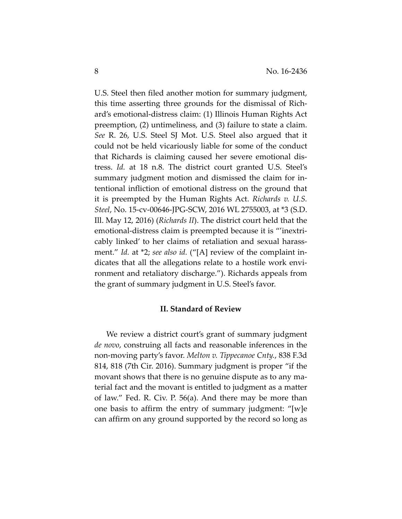U.S. Steel then filed another motion for summary judgment, this time asserting three grounds for the dismissal of Rich‐ ard's emotional‐distress claim: (1) Illinois Human Rights Act preemption, (2) untimeliness, and (3) failure to state a claim. *See* R. 26, U.S. Steel SJ Mot. U.S. Steel also argued that it could not be held vicariously liable for some of the conduct that Richards is claiming caused her severe emotional dis‐ tress. *Id.* at 18 n.8. The district court granted U.S. Steel's summary judgment motion and dismissed the claim for in‐ tentional infliction of emotional distress on the ground that it is preempted by the Human Rights Act. *Richards v. U.S. Steel*, No. 15‐cv‐00646‐JPG‐SCW, 2016 WL 2755003, at \*3 (S.D. Ill. May 12, 2016) (*Richards II*). The district court held that the emotional-distress claim is preempted because it is "'inextricably linked' to her claims of retaliation and sexual harass‐ ment." *Id.* at \*2; *see also id.* ("[A] review of the complaint in‐ dicates that all the allegations relate to a hostile work envi‐ ronment and retaliatory discharge."). Richards appeals from the grant of summary judgment in U.S. Steel's favor.

## **II. Standard of Review**

We review a district court's grant of summary judgment *de novo*, construing all facts and reasonable inferences in the non‐moving party's favor. *Melton v. Tippecanoe Cnty.*, 838 F.3d 814, 818 (7th Cir. 2016). Summary judgment is proper "if the movant shows that there is no genuine dispute as to any ma‐ terial fact and the movant is entitled to judgment as a matter of law." Fed. R. Civ. P. 56(a). And there may be more than one basis to affirm the entry of summary judgment: "[w]e can affirm on any ground supported by the record so long as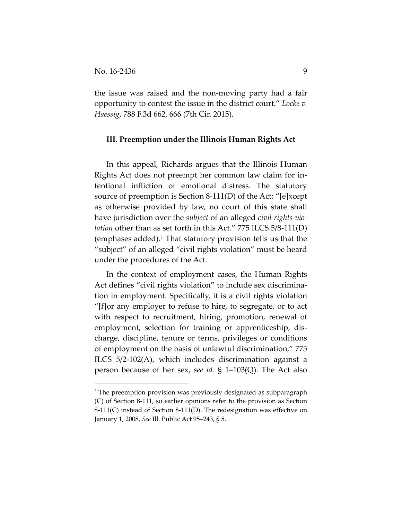the issue was raised and the non‐moving party had a fair opportunity to contest the issue in the district court." *Locke v. Haessig*, 788 F.3d 662, 666 (7th Cir. 2015).

#### **III. Preemption under the Illinois Human Rights Act**

In this appeal, Richards argues that the Illinois Human Rights Act does not preempt her common law claim for in‐ tentional infliction of emotional distress. The statutory source of preemption is Section 8-111(D) of the Act: "[e]xcept as otherwise provided by law, no court of this state shall have jurisdiction over the *subject* of an alleged *civil rights vio‐ lation* other than as set forth in this Act." 775 ILCS 5/8-111(D) (emphases added).1 That statutory provision tells us that the "subject" of an alleged "civil rights violation" must be heard under the procedures of the Act.

In the context of employment cases, the Human Rights Act defines "civil rights violation" to include sex discrimina‐ tion in employment. Specifically, it is a civil rights violation "[f]or any employer to refuse to hire, to segregate, or to act with respect to recruitment, hiring, promotion, renewal of employment, selection for training or apprenticeship, dis‐ charge, discipline, tenure or terms, privileges or conditions of employment on the basis of unlawful discrimination," 775 ILCS 5/2‐102(A), which includes discrimination against a person because of her sex, *see id.* § 1–103(Q). The Act also

 $1$  The preemption provision was previously designated as subparagraph (C) of Section 8‐111, so earlier opinions refer to the provision as Section 8‐111(C) instead of Section 8‐111(D). The redesignation was effective on January 1, 2008. *See* Ill. Public Act 95–243, § 5.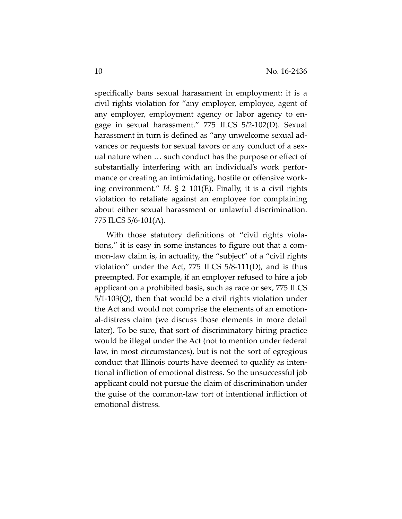specifically bans sexual harassment in employment: it is a civil rights violation for "any employer, employee, agent of any employer, employment agency or labor agency to en‐ gage in sexual harassment." 775 ILCS 5/2‐102(D). Sexual harassment in turn is defined as "any unwelcome sexual advances or requests for sexual favors or any conduct of a sex‐ ual nature when … such conduct has the purpose or effect of substantially interfering with an individual's work perfor‐ mance or creating an intimidating, hostile or offensive work‐ ing environment." *Id.* § 2–101(E). Finally, it is a civil rights violation to retaliate against an employee for complaining about either sexual harassment or unlawful discrimination. 775 ILCS 5/6‐101(A).

With those statutory definitions of "civil rights violations," it is easy in some instances to figure out that a com‐ mon-law claim is, in actuality, the "subject" of a "civil rights violation" under the Act,  $775$  ILCS  $5/8-111(D)$ , and is thus preempted. For example, if an employer refused to hire a job applicant on a prohibited basis, such as race or sex, 775 ILCS  $5/1-103(Q)$ , then that would be a civil rights violation under the Act and would not comprise the elements of an emotion‐ al‐distress claim (we discuss those elements in more detail later). To be sure, that sort of discriminatory hiring practice would be illegal under the Act (not to mention under federal law, in most circumstances), but is not the sort of egregious conduct that Illinois courts have deemed to qualify as inten‐ tional infliction of emotional distress. So the unsuccessful job applicant could not pursue the claim of discrimination under the guise of the common‐law tort of intentional infliction of emotional distress.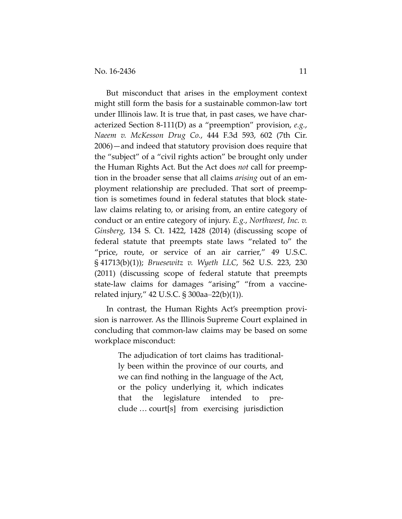But misconduct that arises in the employment context might still form the basis for a sustainable common‐law tort under Illinois law. It is true that, in past cases, we have char‐ acterized Section 8‐111(D) as a "preemption" provision, *e.g.*, *Naeem v. McKesson Drug Co.*, 444 F.3d 593, 602 (7th Cir. 2006)—and indeed that statutory provision does require that the "subject" of a "civil rights action" be brought only under the Human Rights Act. But the Act does *not* call for preemp‐ tion in the broader sense that all claims *arising* out of an em‐ ployment relationship are precluded. That sort of preemp‐ tion is sometimes found in federal statutes that block state‐ law claims relating to, or arising from, an entire category of conduct or an entire category of injury. *E.g.*, *Northwest, Inc. v. Ginsberg*, 134 S. Ct. 1422, 1428 (2014) (discussing scope of federal statute that preempts state laws "related to" the "price, route, or service of an air carrier," 49 U.S.C. § 41713(b)(1)); *Bruesewitz v. Wyeth LLC*, 562 U.S. 223, 230 (2011) (discussing scope of federal statute that preempts state-law claims for damages "arising" "from a vaccinerelated injury," 42 U.S.C. § 300aa–22(b)(1)).

In contrast, the Human Rights Act's preemption provision is narrower. As the Illinois Supreme Court explained in concluding that common‐law claims may be based on some workplace misconduct:

> The adjudication of tort claims has traditional‐ ly been within the province of our courts, and we can find nothing in the language of the Act, or the policy underlying it, which indicates that the legislature intended to pre‐ clude … court[s] from exercising jurisdiction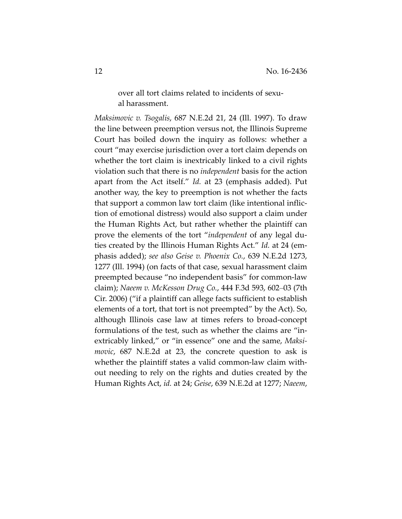over all tort claims related to incidents of sexu‐ al harassment.

*Maksimovic v. Tsogalis*, 687 N.E.2d 21, 24 (Ill. 1997). To draw the line between preemption versus not, the Illinois Supreme Court has boiled down the inquiry as follows: whether a court "may exercise jurisdiction over a tort claim depends on whether the tort claim is inextricably linked to a civil rights violation such that there is no *independent* basis for the action apart from the Act itself." *Id.* at 23 (emphasis added). Put another way, the key to preemption is not whether the facts that support a common law tort claim (like intentional inflic‐ tion of emotional distress) would also support a claim under the Human Rights Act, but rather whether the plaintiff can prove the elements of the tort "*independent* of any legal du‐ ties created by the Illinois Human Rights Act." *Id.* at 24 (em‐ phasis added); *see also Geise v. Phoenix Co.*, 639 N.E.2d 1273, 1277 (Ill. 1994) (on facts of that case, sexual harassment claim preempted because "no independent basis" for common‐law claim); *Naeem v. McKesson Drug Co.*, 444 F.3d 593, 602–03 (7th Cir. 2006) ("if a plaintiff can allege facts sufficient to establish elements of a tort, that tort is not preempted" by the Act). So, although Illinois case law at times refers to broad‐concept formulations of the test, such as whether the claims are "inextricably linked," or "in essence" one and the same, *Maksi‐ movic*, 687 N.E.2d at 23, the concrete question to ask is whether the plaintiff states a valid common-law claim without needing to rely on the rights and duties created by the Human Rights Act, *id.* at 24; *Geise*, 639 N.E.2d at 1277; *Naeem*,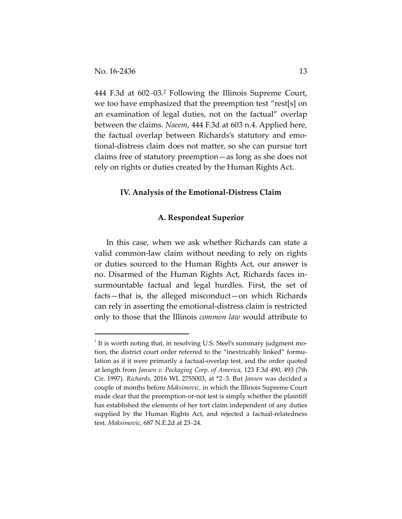444 F.3d at 602–03.2 Following the Illinois Supreme Court, we too have emphasized that the preemption test "rest[s] on an examination of legal duties, not on the factual" overlap between the claims. *Naeem*, 444 F.3d at 603 n.4. Applied here, the factual overlap between Richards's statutory and emo‐ tional‐distress claim does not matter, so she can pursue tort claims free of statutory preemption—as long as she does not rely on rights or duties created by the Human Rights Act.

## **IV. Analysis of the Emotional‐Distress Claim**

#### **A. Respondeat Superior**

In this case, when we ask whether Richards can state a valid common‐law claim without needing to rely on rights or duties sourced to the Human Rights Act, our answer is no. Disarmed of the Human Rights Act, Richards faces in‐ surmountable factual and legal hurdles. First, the set of facts—that is, the alleged misconduct—on which Richards can rely in asserting the emotional‐distress claim is restricted only to those that the Illinois *common law* would attribute to

 $2$  It is worth noting that, in resolving U.S. Steel's summary judgment motion, the district court order referred to the "inextricably linked" formulation as if it were primarily a factual-overlap test, and the order quoted at length from *Jansen v. Packaging Corp. of America*, 123 F.3d 490, 493 (7th Cir. 1997). *Richards*, 2016 WL 2755003, at \*2–3. But *Jansen* was decided a couple of months before *Maksimovic*, in which the Illinois Supreme Court made clear that the preemption‐or‐not test is simply whether the plaintiff has established the elements of her tort claim independent of any duties supplied by the Human Rights Act, and rejected a factual-relatedness test. *Maksimovic*, 687 N.E.2d at 23–24.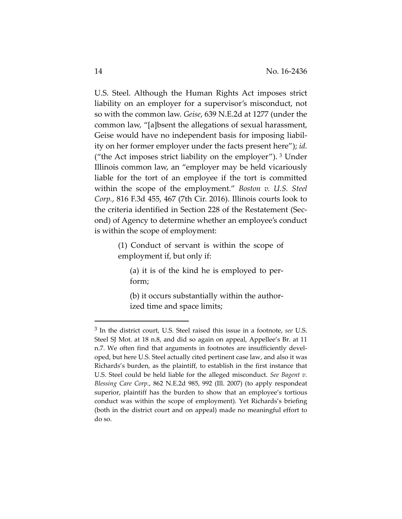U.S. Steel. Although the Human Rights Act imposes strict liability on an employer for a supervisor's misconduct, not so with the common law. *Geise*, 639 N.E.2d at 1277 (under the common law, "[a]bsent the allegations of sexual harassment, Geise would have no independent basis for imposing liabil‐ ity on her former employer under the facts present here"); *id.* ("the Act imposes strict liability on the employer"). <sup>3</sup> Under Illinois common law, an "employer may be held vicariously liable for the tort of an employee if the tort is committed within the scope of the employment." *Boston v. U.S. Steel Corp.*, 816 F.3d 455, 467 (7th Cir. 2016). Illinois courts look to the criteria identified in Section 228 of the Restatement (Sec‐ ond) of Agency to determine whether an employee's conduct is within the scope of employment:

> (1) Conduct of servant is within the scope of employment if, but only if:

(a) it is of the kind he is employed to per‐ form;

(b) it occurs substantially within the author‐ ized time and space limits;

<sup>3</sup> In the district court, U.S. Steel raised this issue in a footnote, *see* U.S. Steel SJ Mot. at 18 n.8, and did so again on appeal, Appellee's Br. at 11 n.7. We often find that arguments in footnotes are insufficiently developed, but here U.S. Steel actually cited pertinent case law, and also it was Richards's burden, as the plaintiff, to establish in the first instance that U.S. Steel could be held liable for the alleged misconduct. *See Bagent v. Blessing Care Corp.*, 862 N.E.2d 985, 992 (Ill. 2007) (to apply respondeat superior, plaintiff has the burden to show that an employee's tortious conduct was within the scope of employment). Yet Richards's briefing (both in the district court and on appeal) made no meaningful effort to do so.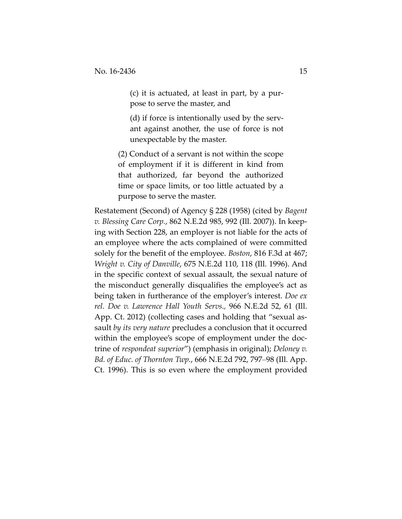(c) it is actuated, at least in part, by a pur‐ pose to serve the master, and

(d) if force is intentionally used by the serv‐ ant against another, the use of force is not unexpectable by the master.

(2) Conduct of a servant is not within the scope of employment if it is different in kind from that authorized, far beyond the authorized time or space limits, or too little actuated by a purpose to serve the master.

Restatement (Second) of Agency § 228 (1958) (cited by *Bagent v. Blessing Care Corp.*, 862 N.E.2d 985, 992 (Ill. 2007)). In keep‐ ing with Section 228, an employer is not liable for the acts of an employee where the acts complained of were committed solely for the benefit of the employee. *Boston*, 816 F.3d at 467; *Wright v. City of Danville*, 675 N.E.2d 110, 118 (Ill. 1996). And in the specific context of sexual assault, the sexual nature of the misconduct generally disqualifies the employee's act as being taken in furtherance of the employer's interest. *Doe ex rel. Doe v. Lawrence Hall Youth Servs.,* 966 N.E.2d 52, 61 (Ill. App. Ct. 2012) (collecting cases and holding that "sexual as‐ sault *by its very nature* precludes a conclusion that it occurred within the employee's scope of employment under the doctrine of *respondeat superior*") (emphasis in original); *Deloney v. Bd. of Educ. of Thornton Twp.*, 666 N.E.2d 792, 797–98 (Ill. App. Ct. 1996). This is so even where the employment provided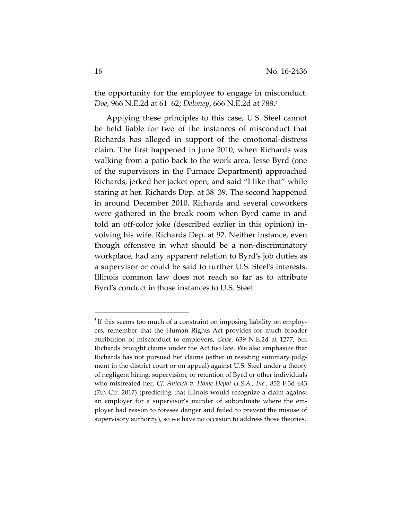the opportunity for the employee to engage in misconduct. *Doe*, 966 N.E.2d at 61–62; *Deloney*, 666 N.E.2d at 788.4

Applying these principles to this case, U.S. Steel cannot be held liable for two of the instances of misconduct that Richards has alleged in support of the emotional‐distress claim. The first happened in June 2010, when Richards was walking from a patio back to the work area. Jesse Byrd (one of the supervisors in the Furnace Department) approached Richards, jerked her jacket open, and said "I like that" while staring at her. Richards Dep. at 38–39. The second happened in around December 2010. Richards and several coworkers were gathered in the break room when Byrd came in and told an off‐color joke (described earlier in this opinion) in‐ volving his wife. Richards Dep. at 92. Neither instance, even though offensive in what should be a non‐discriminatory workplace, had any apparent relation to Byrd's job duties as a supervisor or could be said to further U.S. Steel's interests. Illinois common law does not reach so far as to attribute Byrd's conduct in those instances to U.S. Steel.

<sup>&</sup>lt;sup>4</sup> If this seems too much of a constraint on imposing liability on employers, remember that the Human Rights Act provides for much broader attribution of misconduct to employers, *Geise*, 639 N.E.2d at 1277, but Richards brought claims under the Act too late. We also emphasize that Richards has not pursued her claims (either in resisting summary judgment in the district court or on appeal) against U.S. Steel under a theory of negligent hiring, supervision, or retention of Byrd or other individuals who mistreated her, *Cf. Anicich v. Home Depot U.S.A., Inc.*, 852 F.3d 643 (7th Cir. 2017) (predicting that Illinois would recognize a claim against an employer for a supervisor's murder of subordinate where the employer had reason to foresee danger and failed to prevent the misuse of supervisory authority), so we have no occasion to address those theories.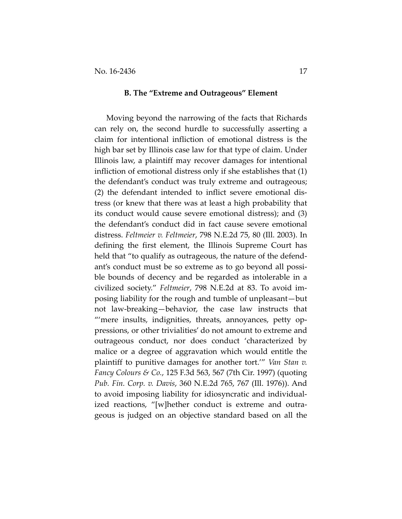#### **B. The "Extreme and Outrageous" Element**

Moving beyond the narrowing of the facts that Richards can rely on, the second hurdle to successfully asserting a claim for intentional infliction of emotional distress is the high bar set by Illinois case law for that type of claim. Under Illinois law, a plaintiff may recover damages for intentional infliction of emotional distress only if she establishes that (1) the defendant's conduct was truly extreme and outrageous; (2) the defendant intended to inflict severe emotional dis‐ tress (or knew that there was at least a high probability that its conduct would cause severe emotional distress); and (3) the defendant's conduct did in fact cause severe emotional distress. *Feltmeier v. Feltmeier*, 798 N.E.2d 75, 80 (Ill. 2003). In defining the first element, the Illinois Supreme Court has held that "to qualify as outrageous, the nature of the defendant's conduct must be so extreme as to go beyond all possi‐ ble bounds of decency and be regarded as intolerable in a civilized society." *Feltmeier*, 798 N.E.2d at 83. To avoid im‐ posing liability for the rough and tumble of unpleasant—but not law‐breaking—behavior, the case law instructs that "'mere insults, indignities, threats, annoyances, petty op‐ pressions, or other trivialities' do not amount to extreme and outrageous conduct, nor does conduct 'characterized by malice or a degree of aggravation which would entitle the plaintiff to punitive damages for another tort.'" *Van Stan v. Fancy Colours & Co.*, 125 F.3d 563, 567 (7th Cir. 1997) (quoting *Pub. Fin. Corp. v. Davis*, 360 N.E.2d 765, 767 (Ill. 1976)). And to avoid imposing liability for idiosyncratic and individual‐ ized reactions, "[w]hether conduct is extreme and outrageous is judged on an objective standard based on all the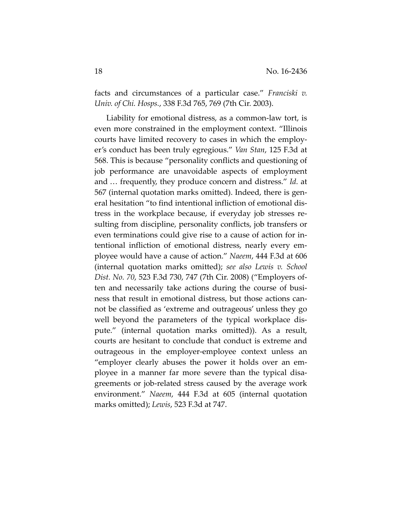facts and circumstances of a particular case." *Franciski v. Univ. of Chi. Hosps.*, 338 F.3d 765, 769 (7th Cir. 2003).

Liability for emotional distress, as a common‐law tort, is even more constrained in the employment context. "Illinois courts have limited recovery to cases in which the employ‐ er's conduct has been truly egregious." *Van Stan*, 125 F.3d at 568. This is because "personality conflicts and questioning of job performance are unavoidable aspects of employment and … frequently, they produce concern and distress." *Id.* at 567 (internal quotation marks omitted). Indeed, there is gen‐ eral hesitation "to find intentional infliction of emotional dis‐ tress in the workplace because, if everyday job stresses re‐ sulting from discipline, personality conflicts, job transfers or even terminations could give rise to a cause of action for in‐ tentional infliction of emotional distress, nearly every em‐ ployee would have a cause of action." *Naeem*, 444 F.3d at 606 (internal quotation marks omitted); *see also Lewis v. School Dist. No. 70*, 523 F.3d 730, 747 (7th Cir. 2008) ("Employers of‐ ten and necessarily take actions during the course of business that result in emotional distress, but those actions can‐ not be classified as 'extreme and outrageous' unless they go well beyond the parameters of the typical workplace dispute." (internal quotation marks omitted)). As a result, courts are hesitant to conclude that conduct is extreme and outrageous in the employer‐employee context unless an "employer clearly abuses the power it holds over an em‐ ployee in a manner far more severe than the typical disa‐ greements or job‐related stress caused by the average work environment." *Naeem*, 444 F.3d at 605 (internal quotation marks omitted); *Lewis*, 523 F.3d at 747.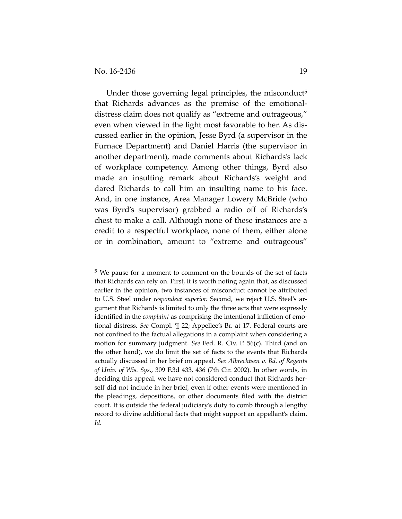Under those governing legal principles, the misconduct<sup>5</sup> that Richards advances as the premise of the emotional‐ distress claim does not qualify as "extreme and outrageous," even when viewed in the light most favorable to her. As dis‐ cussed earlier in the opinion, Jesse Byrd (a supervisor in the Furnace Department) and Daniel Harris (the supervisor in another department), made comments about Richards's lack of workplace competency. Among other things, Byrd also made an insulting remark about Richards's weight and dared Richards to call him an insulting name to his face. And, in one instance, Area Manager Lowery McBride (who was Byrd's supervisor) grabbed a radio off of Richards's chest to make a call. Although none of these instances are a credit to a respectful workplace, none of them, either alone or in combination, amount to "extreme and outrageous"

<sup>5</sup> We pause for a moment to comment on the bounds of the set of facts that Richards can rely on. First, it is worth noting again that, as discussed earlier in the opinion, two instances of misconduct cannot be attributed to U.S. Steel under *respondeat superior.* Second, we reject U.S. Steel's ar‐ gument that Richards is limited to only the three acts that were expressly identified in the *complaint* as comprising the intentional infliction of emotional distress. *See* Compl. ¶ 22; Appellee's Br. at 17. Federal courts are not confined to the factual allegations in a complaint when considering a motion for summary judgment. *See* Fed. R. Civ. P. 56(c). Third (and on the other hand), we do limit the set of facts to the events that Richards actually discussed in her brief on appeal. *See Albrechtsen v. Bd. of Regents of Univ. of Wis. Sys.*, 309 F.3d 433, 436 (7th Cir. 2002). In other words, in deciding this appeal, we have not considered conduct that Richards her‐ self did not include in her brief, even if other events were mentioned in the pleadings, depositions, or other documents filed with the district court. It is outside the federal judiciary's duty to comb through a lengthy record to divine additional facts that might support an appellant's claim. *Id.*